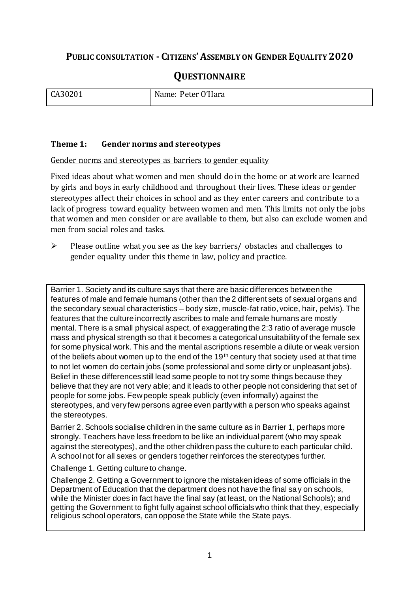# **PUBLIC CONSULTATION - CITIZENS'ASSEMBLY ON GENDER EQUALITY 2020**

# **QUESTIONNAIRE**

| CA30201 | · O'Hara<br>Name: Peter ( |
|---------|---------------------------|
|         |                           |

#### **Theme 1: Gender norms and stereotypes**

#### Gender norms and stereotypes as barriers to gender equality

Fixed ideas about what women and men should do in the home or at work are learned by girls and boys in early childhood and throughout their lives. These ideas or gender stereotypes affect their choices in school and as they enter careers and contribute to a lack of progress toward equality between women and men. This limits not only the jobs that women and men consider or are available to them, but also can exclude women and men from social roles and tasks.

 $\triangleright$  Please outline what you see as the key barriers/ obstacles and challenges to gender equality under this theme in law, policy and practice.

Barrier 1. Society and its culture says that there are basic differences between the features of male and female humans (other than the 2 different sets of sexual organs and the secondary sexual characteristics – body size, muscle-fat ratio, voice, hair, pelvis). The features that the culture incorrectly ascribes to male and female humans are mostly mental. There is a small physical aspect, of exaggerating the 2:3 ratio of average muscle mass and physical strength so that it becomes a categorical unsuitability of the female sex for some physical work. This and the mental ascriptions resemble a dilute or weak version of the beliefs about women up to the end of the 19<sup>th</sup> century that society used at that time to not let women do certain jobs (some professional and some dirty or unpleasant jobs). Belief in these differences still lead some people to not try some things because they believe that they are not very able; and it leads to other people not considering that set of people for some jobs. Few people speak publicly (even informally) against the stereotypes, and very few persons agree even partly with a person who speaks against the stereotypes.

Barrier 2. Schools socialise children in the same culture as in Barrier 1, perhaps more strongly. Teachers have less freedom to be like an individual parent (who may speak against the stereotypes), and the other children pass the culture to each particular child. A school not for all sexes or genders together reinforces the stereotypes further.

Challenge 1. Getting culture to change.

Challenge 2. Getting a Government to ignore the mistaken ideas of some officials in the Department of Education that the department does not have the final say on schools, while the Minister does in fact have the final say (at least, on the National Schools); and getting the Government to fight fully against school officials who think that they, especially religious school operators, can oppose the State while the State pays.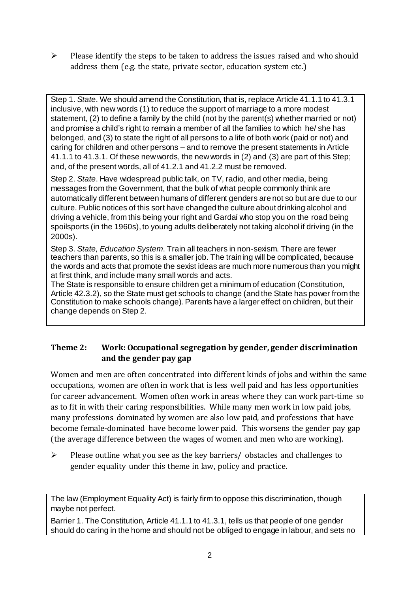$\triangleright$  Please identify the steps to be taken to address the issues raised and who should address them (e.g. the state, private sector, education system etc.)

Step 1. *State*. We should amend the Constitution, that is, replace Article 41.1.1 to 41.3.1 inclusive, with new words (1) to reduce the support of marriage to a more modest statement, (2) to define a family by the child (not by the parent(s) whether married or not) and promise a child's right to remain a member of all the families to which he/ she has belonged, and (3) to state the right of all persons to a life of both work (paid or not) and caring for children and other persons – and to remove the present statements in Article 41.1.1 to 41.3.1. Of these new words, the new words in (2) and (3) are part of this Step; and, of the present words, all of 41.2.1 and 41.2.2 must be removed.

Step 2. *State*. Have widespread public talk, on TV, radio, and other media, being messages from the Government, that the bulk of what people commonly think are automatically different between humans of different genders are not so but are due to our culture. Public notices of this sort have changed the culture about drinking alcohol and driving a vehicle, from this being your right and Gardaí who stop you on the road being spoilsports (in the 1960s), to young adults deliberately not taking alcohol if driving (in the 2000s).

Step 3. *State, Education System*. Train all teachers in non-sexism. There are fewer teachers than parents, so this is a smaller job. The training will be complicated, because the words and acts that promote the sexist ideas are much more numerous than you might at first think, and include many small words and acts.

The State is responsible to ensure children get a minimum of education (Constitution, Article 42.3.2), so the State must get schools to change (and the State has power from the Constitution to make schools change). Parents have a larger effect on children, but their change depends on Step 2.

#### **Theme 2: Work: Occupational segregation by gender, gender discrimination and the gender pay gap**

Women and men are often concentrated into different kinds of jobs and within the same occupations, women are often in work that is less well paid and has less opportunities for career advancement. Women often work in areas where they can work part-time so as to fit in with their caring responsibilities. While many men work in low paid jobs, many professions dominated by women are also low paid, and professions that have become female-dominated have become lower paid. This worsens the gender pay gap (the average difference between the wages of women and men who are working).

 $\triangleright$  Please outline what you see as the key barriers/ obstacles and challenges to gender equality under this theme in law, policy and practice.

The law (Employment Equality Act) is fairly firm to oppose this discrimination, though maybe not perfect.

Barrier 1. The Constitution, Article 41.1.1 to 41.3.1, tells us that people of one gender should do caring in the home and should not be obliged to engage in labour, and sets no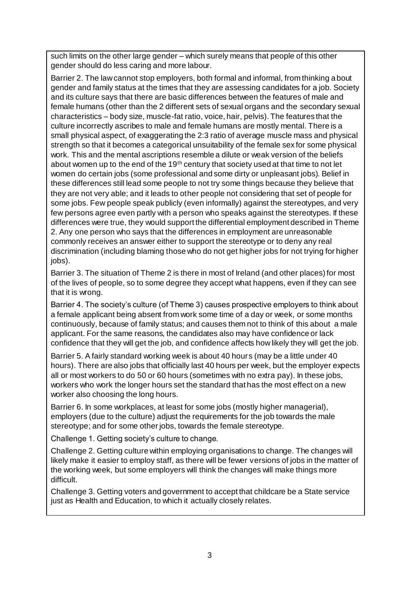such limits on the other large gender – which surely means that people of this other gender should do less caring and more labour.

Barrier 2. The law cannot stop employers, both formal and informal, from thinking about gender and family status at the times that they are assessing candidates for a job. Society and its culture says that there are basic differences between the features of male and female humans (other than the 2 different sets of sexual organs and the secondary sexual characteristics – body size, muscle-fat ratio, voice, hair, pelvis). The features that the culture incorrectly ascribes to male and female humans are mostly mental. There is a small physical aspect, of exaggerating the 2:3 ratio of average muscle mass and physical strength so that it becomes a categorical unsuitability of the female sex for some physical work. This and the mental ascriptions resemble a dilute or weak version of the beliefs about women up to the end of the 19th century that society used at that time to not let women do certain jobs (some professional and some dirty or unpleasant jobs). Belief in these differences still lead some people to not try some things because they believe that they are not very able; and it leads to other people not considering that set of people for some jobs. Few people speak publicly (even informally) against the stereotypes, and very few persons agree even partly with a person who speaks against the stereotypes. If these differences were true, they would support the differential employment described in Theme 2. Any one person who says that the differences in employment are unreasonable commonly receives an answer either to support the stereotype or to deny any real discrimination (including blaming those who do not get higher jobs for not trying for higher jobs).

Barrier 3. The situation of Theme 2 is there in most of Ireland (and other places) for most of the lives of people, so to some degree they accept what happens, even if they can see that it is wrong.

Barrier 4. The society's culture (of Theme 3) causes prospective employers to think about a female applicant being absent from work some time of a day or week, or some months continuously, because of family status; and causes them not to think of this about a male applicant. For the same reasons, the candidates also may have confidence or lack confidence that they will get the job, and confidence affects how likely they will get the job.

Barrier 5. A fairly standard working week is about 40 hours (may be a little under 40 hours). There are also jobs that officially last 40 hours per week, but the employer expects all or most workers to do 50 or 60 hours (sometimes with no extra pay). In these jobs, workers who work the longer hours set the standard that has the most effect on a new worker also choosing the long hours.

Barrier 6. In some workplaces, at least for some jobs (mostly higher managerial), employers (due to the culture) adjust the requirements for the job towards the male stereotype; and for some other jobs, towards the female stereotype.

Challenge 1. Getting society's culture to change.

Challenge 2. Getting culture within employing organisations to change. The changes will likely make it easier to employ staff, as there will be fewer versions of jobs in the matter of the working week, but some employers will think the changes will make things more difficult.

Challenge 3. Getting voters and government to accept that childcare be a State service just as Health and Education, to which it actually closely relates.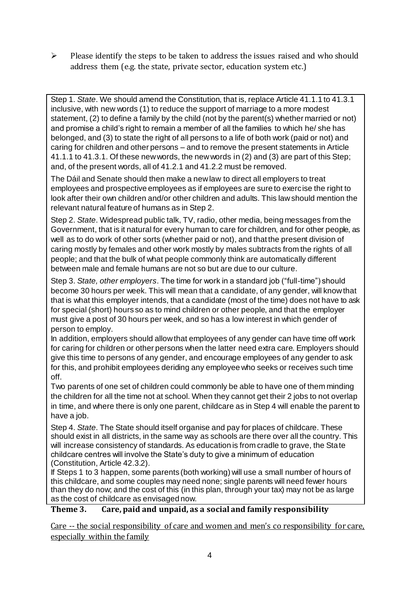$\triangleright$  Please identify the steps to be taken to address the issues raised and who should address them (e.g. the state, private sector, education system etc.)

Step 1. *State*. We should amend the Constitution, that is, replace Article 41.1.1 to 41.3.1 inclusive, with new words (1) to reduce the support of marriage to a more modest statement, (2) to define a family by the child (not by the parent(s) whether married or not) and promise a child's right to remain a member of all the families to which he/ she has belonged, and (3) to state the right of all persons to a life of both work (paid or not) and caring for children and other persons – and to remove the present statements in Article 41.1.1 to 41.3.1. Of these new words, the new words in (2) and (3) are part of this Step; and, of the present words, all of 41.2.1 and 41.2.2 must be removed.

The Dáil and Senate should then make a new law to direct all employers to treat employees and prospective employees as if employees are sure to exercise the right to look after their own children and/or other children and adults. This law should mention the relevant natural feature of humans as in Step 2.

Step 2. *State*. Widespread public talk, TV, radio, other media, being messages from the Government, that is it natural for every human to care for children, and for other people, as well as to do work of other sorts (whether paid or not), and that the present division of caring mostly by females and other work mostly by males subtracts from the rights of all people; and that the bulk of what people commonly think are automatically different between male and female humans are not so but are due to our culture.

Step 3. *State, other employers*. The time for work in a standard job ("full-time") should become 30 hours per week. This will mean that a candidate, of any gender, will know that that is what this employer intends, that a candidate (most of the time) does not have to ask for special (short) hours so as to mind children or other people, and that the employer must give a post of 30 hours per week, and so has a low interest in which gender of person to employ.

In addition, employers should allow that employees of any gender can have time off work for caring for children or other persons when the latter need extra care. Employers should give this time to persons of any gender, and encourage employees of any gender to ask for this, and prohibit employees deriding any employee who seeks or receives such time off.

Two parents of one set of children could commonly be able to have one of them minding the children for all the time not at school. When they cannot get their 2 jobs to not overlap in time, and where there is only one parent, childcare as in Step 4 will enable the parent to have a job.

Step 4. *State*. The State should itself organise and pay for places of childcare. These should exist in all districts, in the same way as schools are there over all the country. This will increase consistency of standards. As education is from cradle to grave, the State childcare centres will involve the State's duty to give a minimum of education (Constitution, Article 42.3.2).

If Steps 1 to 3 happen, some parents (both working) will use a small number of hours of this childcare, and some couples may need none; single parents will need fewer hours than they do now; and the cost of this (in this plan, through your tax) may not be as large as the cost of childcare as envisaged now.

# **Theme 3. Care, paid and unpaid, as a social and family responsibility**

Care -- the social responsibility of care and women and men's co responsibility for care, especially within the family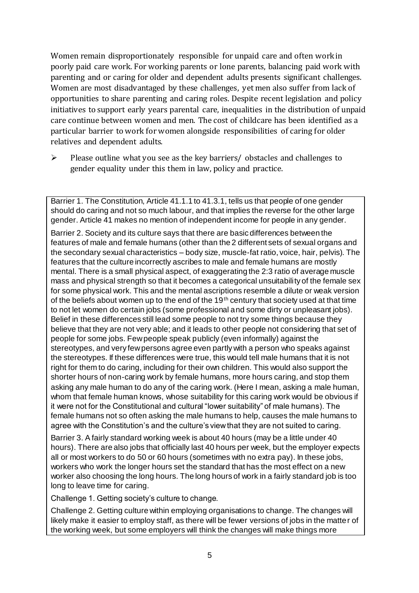Women remain disproportionately responsible for unpaid care and often work in poorly paid care work. For working parents or [lone parents,](https://aran.library.nuigalway.ie/bitstream/handle/10379/6044/Millar_and_Crosse_Activation_Report.pdf?sequence=1&isAllowed=y) balancing paid work with parenting and or caring for older and dependent adults presents significant challenges. Women are [most disadvantaged by these challenges,](https://eige.europa.eu/gender-equality-index/game/IE/W) yet men also suffer from lack of opportunities to share parenting and caring roles. Despite recent legislation and policy initiatives to support early years parental care, [inequalities in the distribution of unpaid](https://www.ihrec.ie/app/uploads/2019/07/Caring-and-Unpaid-Work-in-Ireland_Final.pdf)  [care](https://www.ihrec.ie/app/uploads/2019/07/Caring-and-Unpaid-Work-in-Ireland_Final.pdf) continue between women and men. The cost of childcare has been identified as a particular barrier to work for women alongside responsibilities of caring for older relatives and dependent adults.

 $\triangleright$  Please outline what you see as the key barriers/ obstacles and challenges to gender equality under this them in law, policy and practice.

Barrier 1. The Constitution, Article 41.1.1 to 41.3.1, tells us that people of one gender should do caring and not so much labour, and that implies the reverse for the other large gender. Article 41 makes no mention of independent income for people in any gender.

Barrier 2. Society and its culture says that there are basic differences between the features of male and female humans (other than the 2 different sets of sexual organs and the secondary sexual characteristics – body size, muscle-fat ratio, voice, hair, pelvis). The features that the culture incorrectly ascribes to male and female humans are mostly mental. There is a small physical aspect, of exaggerating the 2:3 ratio of average muscle mass and physical strength so that it becomes a categorical unsuitability of the female sex for some physical work. This and the mental ascriptions resemble a dilute or weak version of the beliefs about women up to the end of the 19<sup>th</sup> century that society used at that time to not let women do certain jobs (some professional and some dirty or unpleasant jobs). Belief in these differences still lead some people to not try some things because they believe that they are not very able; and it leads to other people not considering that set of people for some jobs. Few people speak publicly (even informally) against the stereotypes, and very few persons agree even partly with a person who speaks against the stereotypes. If these differences were true, this would tell male humans that it is not right for them to do caring, including for their own children. This would also support the shorter hours of non-caring work by female humans, more hours caring, and stop them asking any male human to do any of the caring work. (Here I mean, asking a male human, whom that female human knows, whose suitability for this caring work would be obvious if it were not for the Constitutional and cultural "lower suitability" of male humans). The female humans not so often asking the male humans to help, causes the male humans to agree with the Constitution's and the culture's view that they are not suited to caring.

Barrier 3. A fairly standard working week is about 40 hours (may be a little under 40 hours). There are also jobs that officially last 40 hours per week, but the employer expects all or most workers to do 50 or 60 hours (sometimes with no extra pay). In these jobs, workers who work the longer hours set the standard that has the most effect on a new worker also choosing the long hours. The long hours of work in a fairly standard job is too long to leave time for caring.

Challenge 1. Getting society's culture to change.

Challenge 2. Getting culture within employing organisations to change. The changes will likely make it easier to employ staff, as there will be fewer versions of jobs in the matter of the working week, but some employers will think the changes will make things more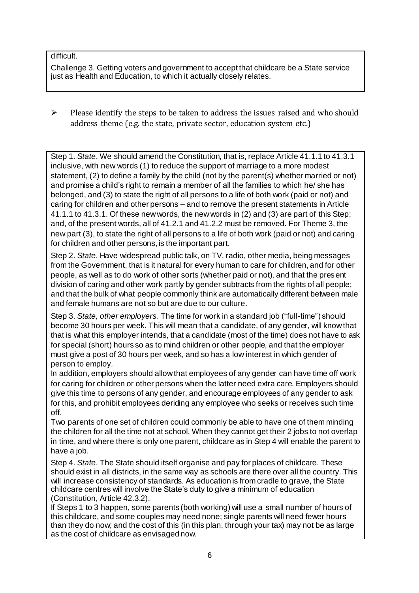#### difficult.

Challenge 3. Getting voters and government to accept that childcare be a State service just as Health and Education, to which it actually closely relates.

 $\triangleright$  Please identify the steps to be taken to address the issues raised and who should address theme (e.g. the state, private sector, education system etc.)

Step 1. *State*. We should amend the Constitution, that is, replace Article 41.1.1 to 41.3.1 inclusive, with new words (1) to reduce the support of marriage to a more modest statement, (2) to define a family by the child (not by the parent(s) whether married or not) and promise a child's right to remain a member of all the families to which he/ she has belonged, and (3) to state the right of all persons to a life of both work (paid or not) and caring for children and other persons – and to remove the present statements in Article 41.1.1 to 41.3.1. Of these new words, the new words in (2) and (3) are part of this Step; and, of the present words, all of 41.2.1 and 41.2.2 must be removed. For Theme 3, the new part (3), to state the right of all persons to a life of both work (paid or not) and caring for children and other persons, is the important part.

Step 2. *State*. Have widespread public talk, on TV, radio, other media, being messages from the Government, that is it natural for every human to care for children, and for other people, as well as to do work of other sorts (whether paid or not), and that the present division of caring and other work partly by gender subtracts from the rights of all people; and that the bulk of what people commonly think are automatically different between male and female humans are not so but are due to our culture.

Step 3. *State, other employers*. The time for work in a standard job ("full-time") should become 30 hours per week. This will mean that a candidate, of any gender, will know that that is what this employer intends, that a candidate (most of the time) does not have to ask for special (short) hours so as to mind children or other people, and that the employer must give a post of 30 hours per week, and so has a low interest in which gender of person to employ.

In addition, employers should allow that employees of any gender can have time off work for caring for children or other persons when the latter need extra care. Employers should give this time to persons of any gender, and encourage employees of any gender to ask for this, and prohibit employees deriding any employee who seeks or receives such time off.

Two parents of one set of children could commonly be able to have one of them minding the children for all the time not at school. When they cannot get their 2 jobs to not overlap in time, and where there is only one parent, childcare as in Step 4 will enable the parent to have a job.

Step 4. *State*. The State should itself organise and pay for places of childcare. These should exist in all districts, in the same way as schools are there over all the country. This will increase consistency of standards. As education is from cradle to grave, the State childcare centres will involve the State's duty to give a minimum of education (Constitution, Article 42.3.2).

If Steps 1 to 3 happen, some parents (both working) will use a small number of hours of this childcare, and some couples may need none; single parents will need fewer hours than they do now; and the cost of this (in this plan, through your tax) may not be as large as the cost of childcare as envisaged now.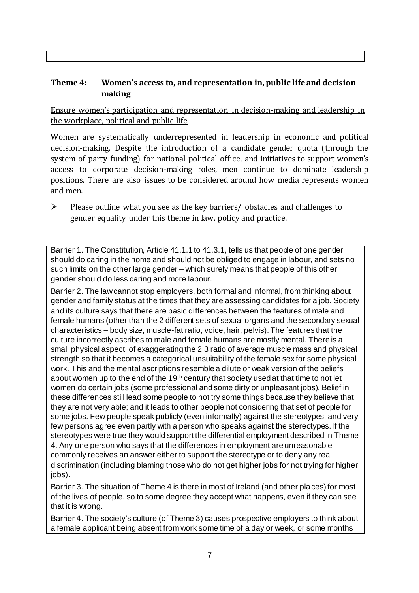### **Theme 4: Women's access to, and representation in, public life and decision making**

Ensure women's participation and representation in decision-making and leadership in the workplace, political and public life

Women are systematically underrepresented in leadership in [economic](https://eige.europa.eu/gender-equality-index/2019/compare-countries/power/2/bar) and [political](https://eige.europa.eu/gender-equality-index/2019/compare-countries/power/1/bar)  [decision-](https://eige.europa.eu/gender-equality-index/2019/compare-countries/power/1/bar)making. Despite the introduction of a candidate gender quota (through the system of party funding) for national political office, an[d initiatives](https://betterbalance.ie/) to support women's access to corporate decision-making roles, men continue to dominate leadership positions. There are also issues to be considered around how media represents women and men.

 $\triangleright$  Please outline what you see as the key barriers/ obstacles and challenges to gender equality under this theme in law, policy and practice.

Barrier 1. The Constitution, Article 41.1.1 to 41.3.1, tells us that people of one gender should do caring in the home and should not be obliged to engage in labour, and sets no such limits on the other large gender – which surely means that people of this other gender should do less caring and more labour.

Barrier 2. The law cannot stop employers, both formal and informal, from thinking about gender and family status at the times that they are assessing candidates for a job. Society and its culture says that there are basic differences between the features of male and female humans (other than the 2 different sets of sexual organs and the secondary sexual characteristics – body size, muscle-fat ratio, voice, hair, pelvis). The features that the culture incorrectly ascribes to male and female humans are mostly mental. There is a small physical aspect, of exaggerating the 2:3 ratio of average muscle mass and physical strength so that it becomes a categorical unsuitability of the female sex for some physical work. This and the mental ascriptions resemble a dilute or weak version of the beliefs about women up to the end of the 19<sup>th</sup> century that society used at that time to not let women do certain jobs (some professional and some dirty or unpleasant jobs). Belief in these differences still lead some people to not try some things because they believe that they are not very able; and it leads to other people not considering that set of people for some jobs. Few people speak publicly (even informally) against the stereotypes, and very few persons agree even partly with a person who speaks against the stereotypes. If the stereotypes were true they would support the differential employment described in Theme 4. Any one person who says that the differences in employment are unreasonable commonly receives an answer either to support the stereotype or to deny any real discrimination (including blaming those who do not get higher jobs for not trying for higher jobs).

Barrier 3. The situation of Theme 4 is there in most of Ireland (and other places) for most of the lives of people, so to some degree they accept what happens, even if they can see that it is wrong.

Barrier 4. The society's culture (of Theme 3) causes prospective employers to think about a female applicant being absent from work some time of a day or week, or some months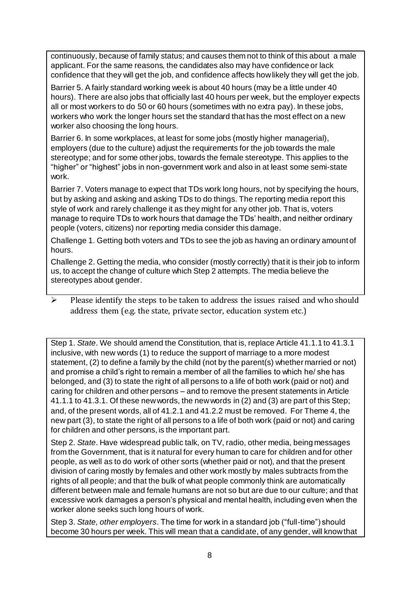continuously, because of family status; and causes them not to think of this about a male applicant. For the same reasons, the candidates also may have confidence or lack confidence that they will get the job, and confidence affects how likely they will get the job.

Barrier 5. A fairly standard working week is about 40 hours (may be a little under 40 hours). There are also jobs that officially last 40 hours per week, but the employer expects all or most workers to do 50 or 60 hours (sometimes with no extra pay). In these jobs, workers who work the longer hours set the standard that has the most effect on a new worker also choosing the long hours.

Barrier 6. In some workplaces, at least for some jobs (mostly higher managerial), employers (due to the culture) adjust the requirements for the job towards the male stereotype; and for some other jobs, towards the female stereotype. This applies to the "higher" or "highest" jobs in non-government work and also in at least some semi-state work.

Barrier 7. Voters manage to expect that TDs work long hours, not by specifying the hours, but by asking and asking and asking TDs to do things. The reporting media report this style of work and rarely challenge it as they might for any other job. That is, voters manage to require TDs to work hours that damage the TDs' health, and neither ordinary people (voters, citizens) nor reporting media consider this damage.

Challenge 1. Getting both voters and TDs to see the job as having an ordinary amount of hours.

Challenge 2. Getting the media, who consider (mostly correctly) that it is their job to inform us, to accept the change of culture which Step 2 attempts. The media believe the stereotypes about gender.

 $\triangleright$  Please identify the steps to be taken to address the issues raised and who should address them (e.g. the state, private sector, education system etc.)

Step 1. *State*. We should amend the Constitution, that is, replace Article 41.1.1 to 41.3.1 inclusive, with new words (1) to reduce the support of marriage to a more modest statement, (2) to define a family by the child (not by the parent(s) whether married or not) and promise a child's right to remain a member of all the families to which he/ she has belonged, and (3) to state the right of all persons to a life of both work (paid or not) and caring for children and other persons – and to remove the present statements in Article 41.1.1 to 41.3.1. Of these new words, the new words in (2) and (3) are part of this Step; and, of the present words, all of 41.2.1 and 41.2.2 must be removed. For Theme 4, the new part (3), to state the right of all persons to a life of both work (paid or not) and caring for children and other persons, is the important part.

Step 2. *State*. Have widespread public talk, on TV, radio, other media, being messages from the Government, that is it natural for every human to care for children and for other people, as well as to do work of other sorts (whether paid or not), and that the present division of caring mostly by females and other work mostly by males subtracts from the rights of all people; and that the bulk of what people commonly think are automatically different between male and female humans are not so but are due to our culture; and that excessive work damages a person's physical and mental health, including even when the worker alone seeks such long hours of work.

Step 3. *State, other employers*. The time for work in a standard job ("full-time") should become 30 hours per week. This will mean that a candidate, of any gender, will know that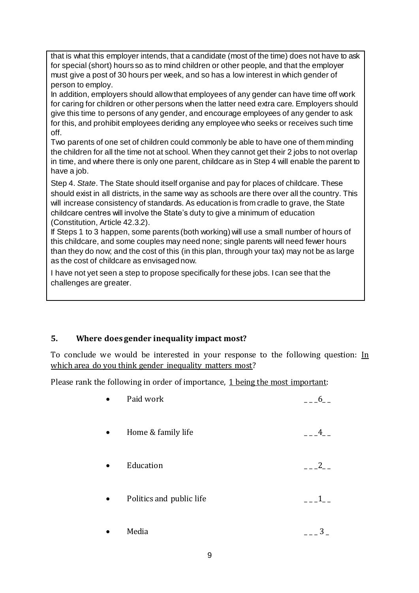that is what this employer intends, that a candidate (most of the time) does not have to ask for special (short) hours so as to mind children or other people, and that the employer must give a post of 30 hours per week, and so has a low interest in which gender of person to employ.

In addition, employers should allow that employees of any gender can have time off work for caring for children or other persons when the latter need extra care. Employers should give this time to persons of any gender, and encourage employees of any gender to ask for this, and prohibit employees deriding any employee who seeks or receives such time off.

Two parents of one set of children could commonly be able to have one of them minding the children for all the time not at school. When they cannot get their 2 jobs to not overlap in time, and where there is only one parent, childcare as in Step 4 will enable the parent to have a job.

Step 4. *State*. The State should itself organise and pay for places of childcare. These should exist in all districts, in the same way as schools are there over all the country. This will increase consistency of standards. As education is from cradle to grave, the State childcare centres will involve the State's duty to give a minimum of education (Constitution, Article 42.3.2).

If Steps 1 to 3 happen, some parents (both working) will use a small number of hours of this childcare, and some couples may need none; single parents will need fewer hours than they do now; and the cost of this (in this plan, through your tax) may not be as large as the cost of childcare as envisaged now.

I have not yet seen a step to propose specifically for these jobs. I can see that the challenges are greater.

# **5. Where does gender inequality impact most?**

To conclude we would be interested in your response to the following question: In which area do you think gender inequality matters most?

Please rank the following in order of importance, 1 being the most important:

| Paid work                |   |
|--------------------------|---|
| Home & family life       |   |
| Education                | 2 |
| Politics and public life |   |
| Media                    |   |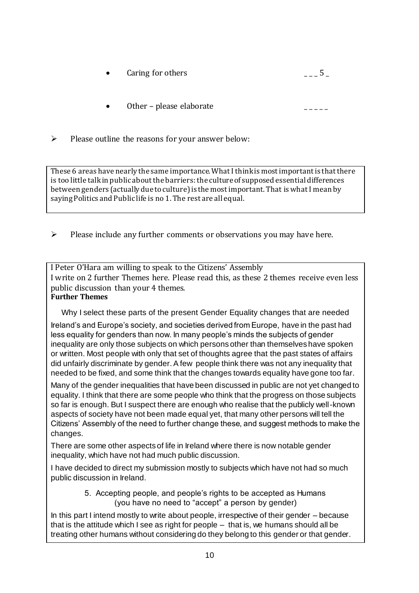- Caring for others  $\overline{\phantom{a}}$   $\overline{\phantom{a}}$   $\overline{\phantom{a}}$   $\overline{\phantom{a}}$   $\overline{\phantom{a}}$   $\overline{\phantom{a}}$   $\overline{\phantom{a}}$   $\overline{\phantom{a}}$   $\overline{\phantom{a}}$   $\overline{\phantom{a}}$   $\overline{\phantom{a}}$   $\overline{\phantom{a}}$   $\overline{\phantom{a}}$   $\overline{\phantom{a}}$   $\overline{\phantom{a}}$   $\overline{\phantom{a}}$   $\overline{\phantom{a}}$
- Other please elaborate
- $\triangleright$  Please outline the reasons for your answer below:

These 6 areas have nearly the same importance. What I think is most important is that there is too little talk in public about the barriers: the culture of supposed essential differences between genders (actually due to culture) is the most important. That is what I mean by saying Politics and Public life is no 1. The rest are all equal.

 $\triangleright$  Please include any further comments or observations you may have here.

I Peter O'Hara am willing to speak to the Citizens' Assembly I write on 2 further Themes here. Please read this, as these 2 themes receive even less public discussion than your 4 themes. **Further Themes**

Why I select these parts of the present Gender Equality changes that are needed

Ireland's and Europe's society, and societies derived from Europe, have in the past had less equality for genders than now. In many people's minds the subjects of gender inequality are only those subjects on which persons other than themselves have spoken or written. Most people with only that set of thoughts agree that the past states of affairs did unfairly discriminate by gender. A few people think there was not any inequality that needed to be fixed, and some think that the changes towards equality have gone too far.

Many of the gender inequalities that have been discussed in public are not yet changed to equality. I think that there are some people who think that the progress on those subjects so far is enough. But I suspect there are enough who realise that the publicly well-known aspects of society have not been made equal yet, that many other persons will tell the Citizens' Assembly of the need to further change these, and suggest methods to make the changes.

There are some other aspects of life in Ireland where there is now notable gender inequality, which have not had much public discussion.

I have decided to direct my submission mostly to subjects which have not had so much public discussion in Ireland.

> 5. Accepting people, and people's rights to be accepted as Humans (you have no need to "accept" a person by gender)

In this part I intend mostly to write about people, irrespective of their gender – because that is the attitude which I see as right for people – that is, we humans should all be treating other humans without considering do they belong to this gender or that gender.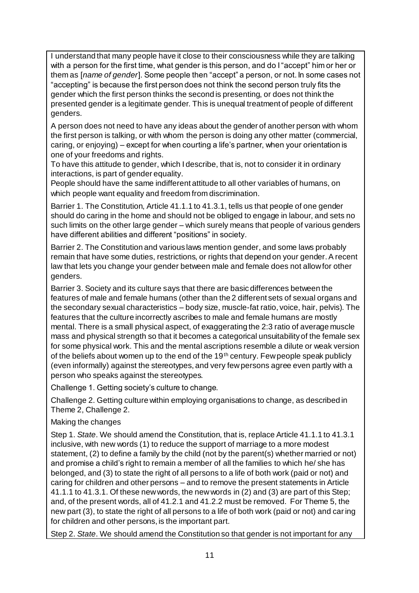I understand that many people have it close to their consciousness while they are talking with a person for the first time, what gender is this person, and do I "accept" him or her or them as [*name of gender*]. Some people then "accept" a person, or not. In some cases not "accepting" is because the first person does not think the second person truly fits the gender which the first person thinks the second is presenting, or does not think the presented gender is a legitimate gender. This is unequal treatment of people of different genders.

A person does not need to have any ideas about the gender of another person with whom the first person is talking, or with whom the person is doing any other matter (commercial, caring, or enjoying) – except for when courting a life's partner, when your orientation is one of your freedoms and rights.

To have this attitude to gender, which I describe, that is, not to consider it in ordinary interactions, is part of gender equality.

People should have the same indifferent attitude to all other variables of humans, on which people want equality and freedom from discrimination.

Barrier 1. The Constitution, Article 41.1.1 to 41.3.1, tells us that people of one gender should do caring in the home and should not be obliged to engage in labour, and sets no such limits on the other large gender – which surely means that people of various genders have different abilities and different "positions" in society.

Barrier 2. The Constitution and various laws mention gender, and some laws probably remain that have some duties, restrictions, or rights that depend on your gender. A recent law that lets you change your gender between male and female does not allow for other genders.

Barrier 3. Society and its culture says that there are basic differences between the features of male and female humans (other than the 2 different sets of sexual organs and the secondary sexual characteristics – body size, muscle-fat ratio, voice, hair, pelvis). The features that the culture incorrectly ascribes to male and female humans are mostly mental. There is a small physical aspect, of exaggerating the 2:3 ratio of average muscle mass and physical strength so that it becomes a categorical unsuitability of the female sex for some physical work. This and the mental ascriptions resemble a dilute or weak version of the beliefs about women up to the end of the 19<sup>th</sup> century. Few people speak publicly (even informally) against the stereotypes, and very few persons agree even partly with a person who speaks against the stereotypes.

Challenge 1. Getting society's culture to change.

Challenge 2. Getting culture within employing organisations to change, as described in Theme 2, Challenge 2.

#### Making the changes

Step 1. *State*. We should amend the Constitution, that is, replace Article 41.1.1 to 41.3.1 inclusive, with new words (1) to reduce the support of marriage to a more modest statement, (2) to define a family by the child (not by the parent(s) whether married or not) and promise a child's right to remain a member of all the families to which he/ she has belonged, and (3) to state the right of all persons to a life of both work (paid or not) and caring for children and other persons – and to remove the present statements in Article 41.1.1 to 41.3.1. Of these new words, the new words in (2) and (3) are part of this Step; and, of the present words, all of 41.2.1 and 41.2.2 must be removed. For Theme 5, the new part (3), to state the right of all persons to a life of both work (paid or not) and caring for children and other persons, is the important part.

Step 2. *State*. We should amend the Constitution so that gender is not important for any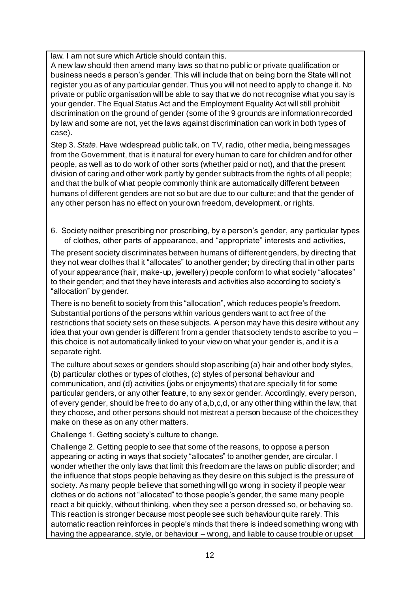law. I am not sure which Article should contain this.

A new law should then amend many laws so that no public or private qualification or business needs a person's gender. This will include that on being born the State will not register you as of any particular gender. Thus you will not need to apply to change it. No private or public organisation will be able to say that we do not recognise what you say is your gender. The Equal Status Act and the Employment Equality Act will still prohibit discrimination on the ground of gender (some of the 9 grounds are information recorded by law and some are not, yet the laws against discrimination can work in both types of case).

Step 3. *State*. Have widespread public talk, on TV, radio, other media, being messages from the Government, that is it natural for every human to care for children and for other people, as well as to do work of other sorts (whether paid or not), and that the present division of caring and other work partly by gender subtracts from the rights of all people; and that the bulk of what people commonly think are automatically different between humans of different genders are not so but are due to our culture; and that the gender of any other person has no effect on your own freedom, development, or rights.

6. Society neither prescribing nor proscribing, by a person's gender, any particular types of clothes, other parts of appearance, and "appropriate" interests and activities,

The present society discriminates between humans of different genders, by directing that they not wear clothes that it "allocates" to another gender; by directing that in other parts of your appearance (hair, make-up, jewellery) people conform to what society "allocates" to their gender; and that they have interests and activities also according to society's "allocation" by gender.

There is no benefit to society from this "allocation", which reduces people's freedom. Substantial portions of the persons within various genders want to act free of the restrictions that society sets on these subjects. A person may have this desire without any idea that your own gender is different from a gender that society tends to ascribe to you – this choice is not automatically linked to your view on what your gender is, and it is a separate right.

The culture about sexes or genders should stop ascribing (a) hair and other body styles, (b) particular clothes or types of clothes, (c) styles of personal behaviour and communication, and (d) activities (jobs or enjoyments) that are specially fit for some particular genders, or any other feature, to any sex or gender. Accordingly, every person, of every gender, should be free to do any of a,b,c,d, or any other thing within the law, that they choose, and other persons should not mistreat a person because of the choices they make on these as on any other matters.

Challenge 1. Getting society's culture to change.

Challenge 2. Getting people to see that some of the reasons, to oppose a person appearing or acting in ways that society "allocates" to another gender, are circular. I wonder whether the only laws that limit this freedom are the laws on public disorder; and the influence that stops people behaving as they desire on this subject is the pressure of society. As many people believe that something will go wrong in society if people wear clothes or do actions not "allocated" to those people's gender, the same many people react a bit quickly, without thinking, when they see a person dressed so, or behaving so. This reaction is stronger because most people see such behaviour quite rarely. This automatic reaction reinforces in people's minds that there is indeed something wrong with having the appearance, style, or behaviour – wrong, and liable to cause trouble or upset